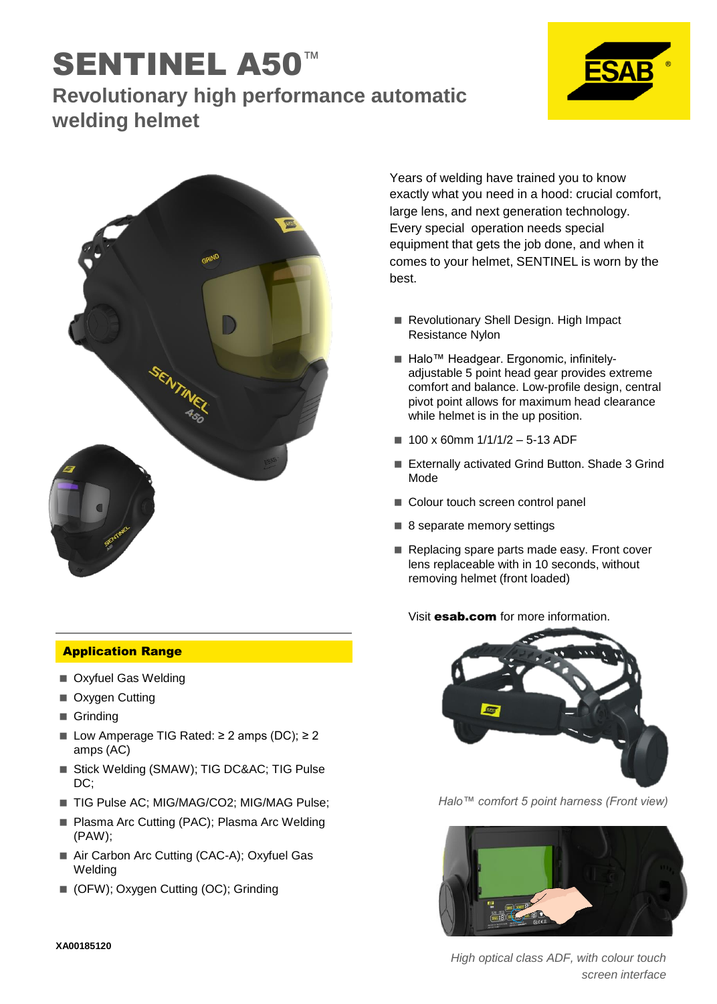## SENTINEL A50 **Revolutionary high performance automatic welding helmet**





Application Range

- Oxyfuel Gas Welding
- Oxygen Cutting
- Grinding
- Low Amperage TIG Rated: ≥ 2 amps (DC); ≥ 2 amps (AC)
- Stick Welding (SMAW); TIG DC∾ TIG Pulse DC;
- TIG Pulse AC; MIG/MAG/CO2; MIG/MAG Pulse;
- Plasma Arc Cutting (PAC); Plasma Arc Welding (PAW);
- Air Carbon Arc Cutting (CAC-A); Oxyfuel Gas Welding
- (OFW); Oxygen Cutting (OC); Grinding

Years of welding have trained you to know exactly what you need in a hood: crucial comfort, large lens, and next generation technology. Every special operation needs special equipment that gets the job done, and when it comes to your helmet, SENTINEL is worn by the best.

- Revolutionary Shell Design. High Impact Resistance Nylon
- Halo<sup>™</sup> Headgear. Ergonomic, infinitelyadjustable 5 point head gear provides extreme comfort and balance. Low-profile design, central pivot point allows for maximum head clearance while helmet is in the up position.
- $100 \times 60$ mm  $1/1/1/2 5-13$  ADF
- Externally activated Grind Button. Shade 3 Grind Mode
- Colour touch screen control panel
- 8 separate memory settings
- Replacing spare parts made easy. Front cover lens replaceable with in 10 seconds, without removing helmet (front loaded)

## Visit **esab.com** for more information.



*Halo™ comfort 5 point harness (Front view)*



*High optical class ADF, with colour touch screen interface*